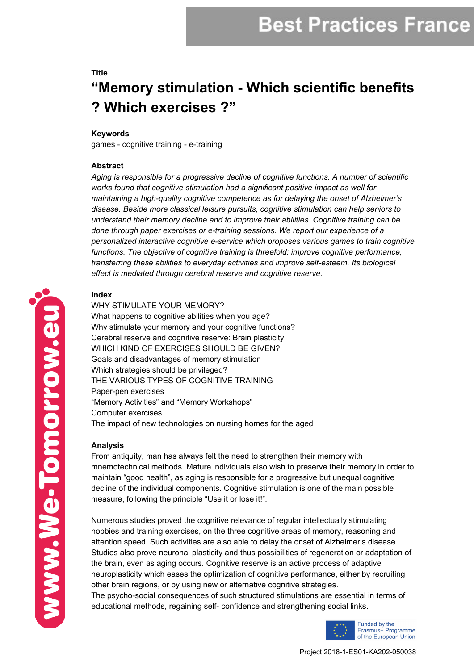# **Best Practices France**

# **Title "Memory stimulation - Which scientific benefits ? Which exercises ?"**

#### **Keywords**

games - cognitive training - e-training

### **Abstract**

*Aging is responsible for a progressive decline of cognitive functions. A number of scientific works found that cognitive stimulation had a significant positive impact as well for maintaining a high-quality cognitive competence as for delaying the onset of Alzheimer's disease. Beside more classical leisure pursuits, cognitive stimulation can help seniors to understand their memory decline and to improve their abilities. Cognitive training can be done through paper exercises or e-training sessions. We report our experience of a personalized interactive cognitive e-service which proposes various games to train cognitive functions. The objective of cognitive training is threefold: improve cognitive performance, transferring these abilities to everyday activities and improve self-esteem. Its biological effect is mediated through cerebral reserve and cognitive reserve.*

## **Index**

WHY STIMULATE YOUR MEMORY? What happens to cognitive abilities when you age? Why stimulate your memory and your cognitive functions? Cerebral reserve and cognitive reserve: Brain plasticity WHICH KIND OF EXERCISES SHOULD BE GIVEN? Goals and disadvantages of memory stimulation Which strategies should be privileged? THE VARIOUS TYPES OF COGNITIVE TRAINING Paper-pen exercises "Memory Activities" and "Memory Workshops" Computer exercises The impact of new technologies on nursing homes for the aged

### **Analysis**

From antiquity, man has always felt the need to strengthen their memory with mnemotechnical methods. Mature individuals also wish to preserve their memory in order to maintain "good health", as aging is responsible for a progressive but unequal cognitive decline of the individual components. Cognitive stimulation is one of the main possible measure, following the principle "Use it or lose it!".

Numerous studies proved the cognitive relevance of regular intellectually stimulating hobbies and training exercises, on the three cognitive areas of memory, reasoning and attention speed. Such activities are also able to delay the onset of Alzheimer's disease. Studies also prove neuronal plasticity and thus possibilities of regeneration or adaptation of the brain, even as aging occurs. Cognitive reserve is an active process of adaptive neuroplasticity which eases the optimization of cognitive performance, either by recruiting other brain regions, or by using new or alternative cognitive strategies.

The psycho-social consequences of such structured stimulations are essential in terms of educational methods, regaining self- confidence and strengthening social links.



www.We-Tomorrow.eu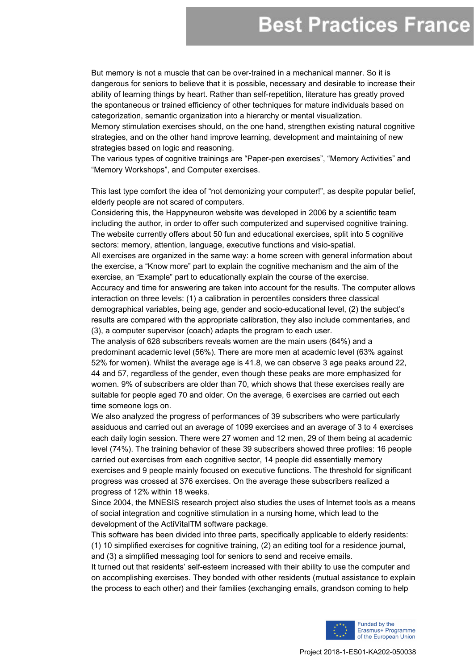# **Best Practices France**

But memory is not a muscle that can be over-trained in a mechanical manner. So it is dangerous for seniors to believe that it is possible, necessary and desirable to increase their ability of learning things by heart. Rather than self-repetition, literature has greatly proved the spontaneous or trained efficiency of other techniques for mature individuals based on categorization, semantic organization into a hierarchy or mental visualization. Memory stimulation exercises should, on the one hand, strengthen existing natural cognitive strategies, and on the other hand improve learning, development and maintaining of new

strategies based on logic and reasoning.

The various types of cognitive trainings are "Paper-pen exercises", "Memory Activities" and "Memory Workshops", and Computer exercises.

This last type comfort the idea of "not demonizing your computer!", as despite popular belief, elderly people are not scared of computers.

Considering this, the Happyneuron website was developed in 2006 by a scientific team including the author, in order to offer such computerized and supervised cognitive training. The website currently offers about 50 fun and educational exercises, split into 5 cognitive sectors: memory, attention, language, executive functions and visio-spatial.

All exercises are organized in the same way: a home screen with general information about the exercise, a "Know more" part to explain the cognitive mechanism and the aim of the exercise, an "Example" part to educationally explain the course of the exercise. Accuracy and time for answering are taken into account for the results. The computer allows

interaction on three levels: (1) a calibration in percentiles considers three classical demographical variables, being age, gender and socio-educational level, (2) the subject's results are compared with the appropriate calibration, they also include commentaries, and (3), a computer supervisor (coach) adapts the program to each user.

The analysis of 628 subscribers reveals women are the main users (64%) and a predominant academic level (56%). There are more men at academic level (63% against 52% for women). Whilst the average age is 41.8, we can observe 3 age peaks around 22, 44 and 57, regardless of the gender, even though these peaks are more emphasized for women. 9% of subscribers are older than 70, which shows that these exercises really are suitable for people aged 70 and older. On the average, 6 exercises are carried out each time someone logs on.

We also analyzed the progress of performances of 39 subscribers who were particularly assiduous and carried out an average of 1099 exercises and an average of 3 to 4 exercises each daily login session. There were 27 women and 12 men, 29 of them being at academic level (74%). The training behavior of these 39 subscribers showed three profiles: 16 people carried out exercises from each cognitive sector, 14 people did essentially memory exercises and 9 people mainly focused on executive functions. The threshold for significant progress was crossed at 376 exercises. On the average these subscribers realized a progress of 12% within 18 weeks.

Since 2004, the MNESIS research project also studies the uses of Internet tools as a means of social integration and cognitive stimulation in a nursing home, which lead to the development of the ActiVitalTM software package.

This software has been divided into three parts, specifically applicable to elderly residents: (1) 10 simplified exercises for cognitive training, (2) an editing tool for a residence journal, and (3) a simplified messaging tool for seniors to send and receive emails.

It turned out that residents' self-esteem increased with their ability to use the computer and on accomplishing exercises. They bonded with other residents (mutual assistance to explain the process to each other) and their families (exchanging emails, grandson coming to help